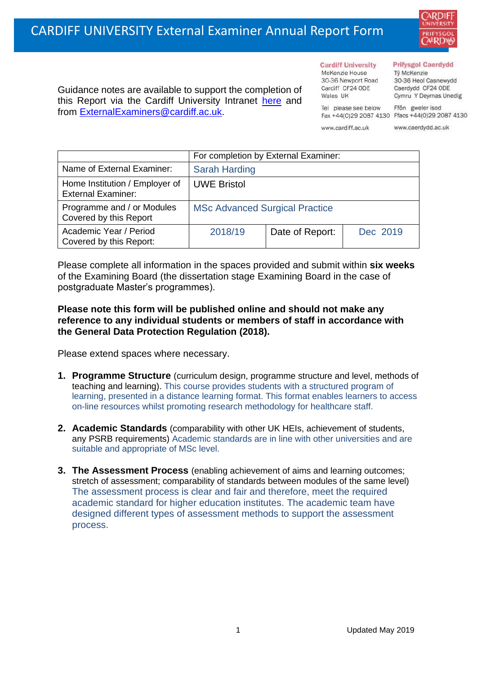30-36 Newport Road Cardiff CF24 ODE Guidance notes are available to support the completion of Wales IIK this Report via the Cardiff University Intranet [here](https://intranet.cardiff.ac.uk/staff/teaching-and-supporting-students/exams-and-assessment/exam-boards-and-external-examiners/for-current-external-examiners/external-examiners-reports) and Tel please see below

#### **Prifysgol Caerdydd**

Từ McKenzie 30-36 Heol Casnewydd Caerdydd CF24 ODE Cymru Y Deyrnas Unedig

Ffôn gweler isod Fax +44(0)29 2087 4130 Ffacs +44(0)29 2087 4130

www.cardiff.ac.uk

**Cardiff University** 

McKenzie House

www.caerdydd.ac.uk

|                                                             | For completion by External Examiner:  |                 |          |  |
|-------------------------------------------------------------|---------------------------------------|-----------------|----------|--|
| Name of External Examiner:                                  | <b>Sarah Harding</b>                  |                 |          |  |
| Home Institution / Employer of<br><b>External Examiner:</b> | <b>UWE Bristol</b>                    |                 |          |  |
| Programme and / or Modules<br>Covered by this Report        | <b>MSc Advanced Surgical Practice</b> |                 |          |  |
| Academic Year / Period<br>Covered by this Report:           | 2018/19                               | Date of Report: | Dec 2019 |  |

Please complete all information in the spaces provided and submit within **six weeks** of the Examining Board (the dissertation stage Examining Board in the case of postgraduate Master's programmes).

### **Please note this form will be published online and should not make any reference to any individual students or members of staff in accordance with the General Data Protection Regulation (2018).**

Please extend spaces where necessary.

from [ExternalExaminers@cardiff.ac.uk.](mailto:ExternalExaminers@cardiff.ac.uk)

- **1. Programme Structure** (curriculum design, programme structure and level, methods of teaching and learning). This course provides students with a structured program of learning, presented in a distance learning format. This format enables learners to access on-line resources whilst promoting research methodology for healthcare staff.
- **2. Academic Standards** (comparability with other UK HEIs, achievement of students, any PSRB requirements) Academic standards are in line with other universities and are suitable and appropriate of MSc level.
- **3. The Assessment Process** (enabling achievement of aims and learning outcomes; stretch of assessment; comparability of standards between modules of the same level) The assessment process is clear and fair and therefore, meet the required academic standard for higher education institutes. The academic team have designed different types of assessment methods to support the assessment process.

ARDIF **UNIVERSITY** PRIFYSGO AERDW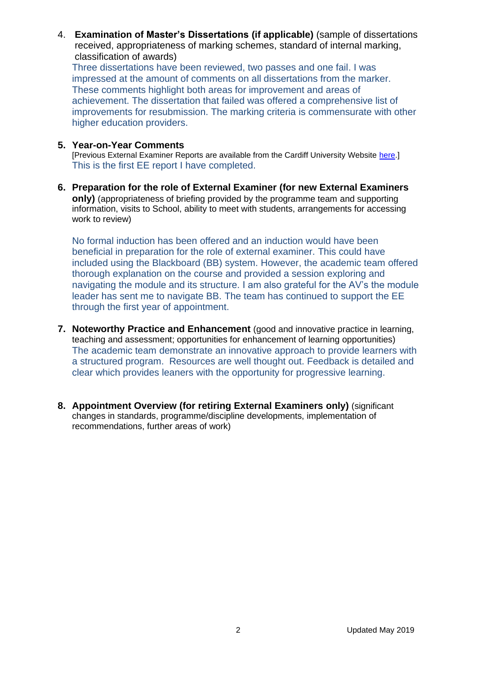4. **Examination of Master's Dissertations (if applicable)** (sample of dissertations received, appropriateness of marking schemes, standard of internal marking, classification of awards)

Three dissertations have been reviewed, two passes and one fail. I was impressed at the amount of comments on all dissertations from the marker. These comments highlight both areas for improvement and areas of achievement. The dissertation that failed was offered a comprehensive list of improvements for resubmission. The marking criteria is commensurate with other higher education providers.

### **5. Year-on-Year Comments**

[Previous External Examiner Reports are available from the Cardiff University Website [here.](https://www.cardiff.ac.uk/public-information/quality-and-standards/external-examiner-reports)] This is the first EE report I have completed.

**6. Preparation for the role of External Examiner (for new External Examiners only)** (appropriateness of briefing provided by the programme team and supporting information, visits to School, ability to meet with students, arrangements for accessing work to review)

No formal induction has been offered and an induction would have been beneficial in preparation for the role of external examiner. This could have included using the Blackboard (BB) system. However, the academic team offered thorough explanation on the course and provided a session exploring and navigating the module and its structure. I am also grateful for the AV's the module leader has sent me to navigate BB. The team has continued to support the EE through the first year of appointment.

- **7. Noteworthy Practice and Enhancement** (good and innovative practice in learning, teaching and assessment; opportunities for enhancement of learning opportunities) The academic team demonstrate an innovative approach to provide learners with a structured program. Resources are well thought out. Feedback is detailed and clear which provides leaners with the opportunity for progressive learning.
- **8. Appointment Overview (for retiring External Examiners only)** (significant changes in standards, programme/discipline developments, implementation of recommendations, further areas of work)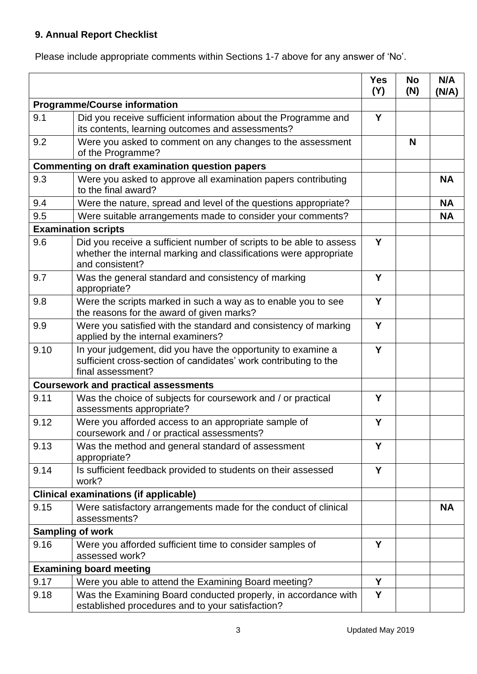# **9. Annual Report Checklist**

Please include appropriate comments within Sections 1-7 above for any answer of 'No'.

|                                     |                                                                                                                                                             | <b>Yes</b><br>(Y) | <b>No</b><br>(N) | N/A<br>(N/A) |
|-------------------------------------|-------------------------------------------------------------------------------------------------------------------------------------------------------------|-------------------|------------------|--------------|
| <b>Programme/Course information</b> |                                                                                                                                                             |                   |                  |              |
| 9.1                                 | Did you receive sufficient information about the Programme and<br>its contents, learning outcomes and assessments?                                          | Y                 |                  |              |
| 9.2                                 | Were you asked to comment on any changes to the assessment<br>of the Programme?                                                                             |                   | N                |              |
|                                     | Commenting on draft examination question papers                                                                                                             |                   |                  |              |
| 9.3                                 | Were you asked to approve all examination papers contributing<br>to the final award?                                                                        |                   |                  | <b>NA</b>    |
| 9.4                                 | Were the nature, spread and level of the questions appropriate?                                                                                             |                   |                  | <b>NA</b>    |
| 9.5                                 | Were suitable arrangements made to consider your comments?                                                                                                  |                   |                  | <b>NA</b>    |
| <b>Examination scripts</b>          |                                                                                                                                                             |                   |                  |              |
| 9.6                                 | Did you receive a sufficient number of scripts to be able to assess<br>whether the internal marking and classifications were appropriate<br>and consistent? | Y                 |                  |              |
| 9.7                                 | Was the general standard and consistency of marking<br>appropriate?                                                                                         | Y                 |                  |              |
| 9.8                                 | Were the scripts marked in such a way as to enable you to see<br>the reasons for the award of given marks?                                                  | Y                 |                  |              |
| 9.9                                 | Were you satisfied with the standard and consistency of marking<br>applied by the internal examiners?                                                       | Y                 |                  |              |
| 9.10                                | In your judgement, did you have the opportunity to examine a<br>sufficient cross-section of candidates' work contributing to the<br>final assessment?       | Y                 |                  |              |
|                                     | <b>Coursework and practical assessments</b>                                                                                                                 |                   |                  |              |
| 9.11                                | Was the choice of subjects for coursework and / or practical<br>assessments appropriate?                                                                    | Y                 |                  |              |
| 9.12                                | Were you afforded access to an appropriate sample of<br>coursework and / or practical assessments?                                                          | Y                 |                  |              |
| 9.13                                | Was the method and general standard of assessment<br>appropriate?                                                                                           | Y                 |                  |              |
| 9.14                                | Is sufficient feedback provided to students on their assessed<br>work?                                                                                      | Y                 |                  |              |
|                                     | <b>Clinical examinations (if applicable)</b>                                                                                                                |                   |                  |              |
| 9.15                                | Were satisfactory arrangements made for the conduct of clinical                                                                                             |                   |                  | <b>NA</b>    |
|                                     | assessments?                                                                                                                                                |                   |                  |              |
|                                     | <b>Sampling of work</b>                                                                                                                                     |                   |                  |              |
| 9.16                                | Were you afforded sufficient time to consider samples of<br>assessed work?                                                                                  | Y                 |                  |              |
| <b>Examining board meeting</b>      |                                                                                                                                                             |                   |                  |              |
| 9.17                                | Were you able to attend the Examining Board meeting?                                                                                                        | Y                 |                  |              |
| 9.18                                | Was the Examining Board conducted properly, in accordance with<br>established procedures and to your satisfaction?                                          | Y                 |                  |              |